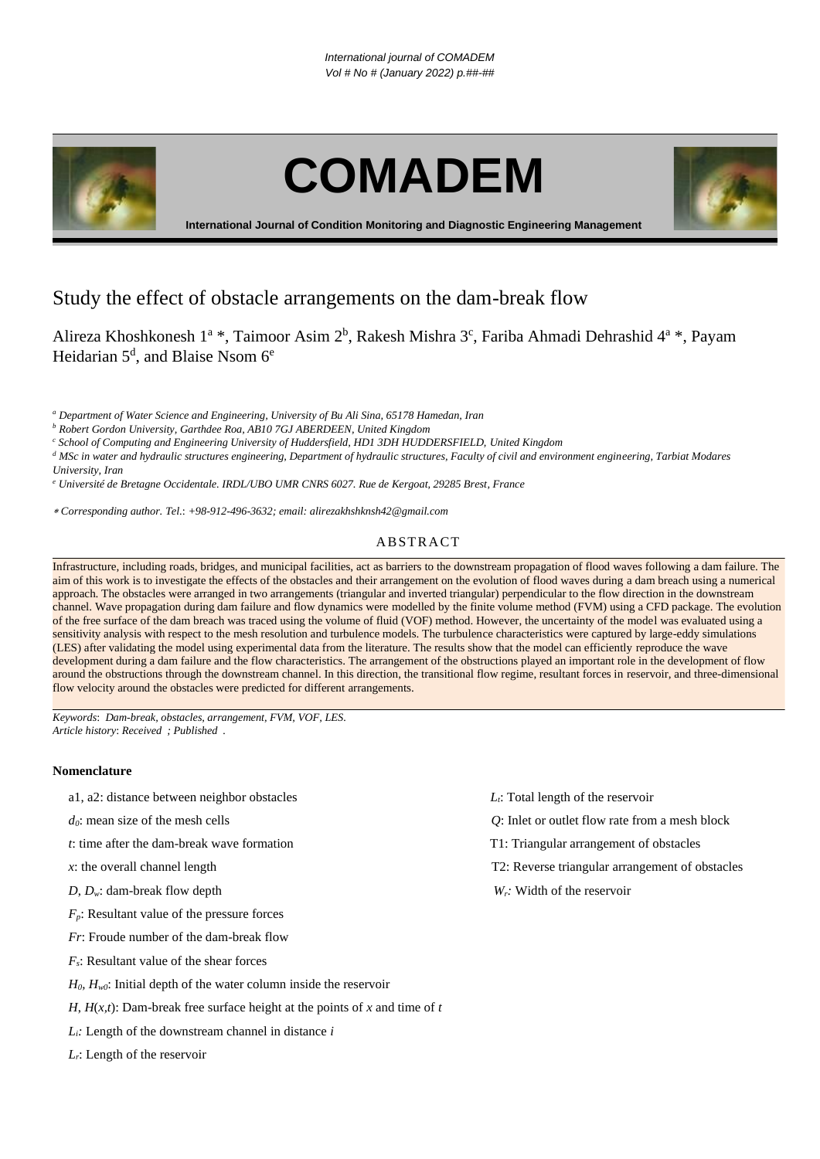

# **COMADEM**



**International Journal of Condition Monitoring and Diagnostic Engineering Management**

# Study the effect of obstacle arrangements on the dam-break flow

Alireza Khoshkonesh 1<sup>a</sup> \*, Taimoor Asim 2<sup>b</sup>, Rakesh Mishra 3<sup>c</sup>, Fariba Ahmadi Dehrashid 4<sup>a</sup> \*, Payam Heidarian  $5^d$ , and Blaise Nsom  $6^e$ 

*<sup>a</sup> Department of Water Science and Engineering, University of Bu Ali Sina, 65178 Hamedan, Iran*

*<sup>b</sup> Robert Gordon University, Garthdee Roa, AB10 7GJ ABERDEEN, United Kingdom*

*<sup>c</sup> School of Computing and Engineering University of Huddersfield, HD1 3DH HUDDERSFIELD, United Kingdom*

*<sup>d</sup> MSc in water and hydraulic structures engineering, Department of hydraulic structures, Faculty of civil and environment engineering, Tarbiat Modares University, Iran*

*<sup>e</sup> Université de Bretagne Occidentale. IRDL/UBO UMR CNRS 6027. Rue de Kergoat, 29285 Brest, France*

*Corresponding author. Tel*.: *+98-912-496-3632; email: alirezakhshknsh42@gmail.com*

## **ABSTRACT**

Infrastructure, including roads, bridges, and municipal facilities, act as barriers to the downstream propagation of flood waves following a dam failure. The aim of this work is to investigate the effects of the obstacles and their arrangement on the evolution of flood waves during a dam breach using a numerical approach. The obstacles were arranged in two arrangements (triangular and inverted triangular) perpendicular to the flow direction in the downstream channel. Wave propagation during dam failure and flow dynamics were modelled by the finite volume method (FVM) using a CFD package. The evolution of the free surface of the dam breach was traced using the volume of fluid (VOF) method. However, the uncertainty of the model was evaluated using a sensitivity analysis with respect to the mesh resolution and turbulence models. The turbulence characteristics were captured by large-eddy simulations (LES) after validating the model using experimental data from the literature. The results show that the model can efficiently reproduce the wave development during a dam failure and the flow characteristics. The arrangement of the obstructions played an important role in the development of flow around the obstructions through the downstream channel. In this direction, the transitional flow regime, resultant forces in reservoir, and three-dimensional flow velocity around the obstacles were predicted for different arrangements.

*Keywords*: *Dam-break, obstacles, arrangement, FVM, VOF, LES. Article history*: *Received ; Published .*

### **Nomenclature**

- a1, a2: distance between neighbor obstacles  $L_t$ : Total length of the reservoir
- 
- *t*: time after the dam-break wave formation T1: Triangular arrangement of obstacles
- 
- *D*, *Dw*: dam-break flow depth *Wr:* Width of the reservoir
- *Fp*: Resultant value of the pressure forces
- *Fr*: Froude number of the dam-break flow
- *Fs*: Resultant value of the shear forces
- $H_0$ ,  $H_{w0}$ : Initial depth of the water column inside the reservoir
- $H$ ,  $H(x,t)$ : Dam-break free surface height at the points of *x* and time of *t*
- $L_i$ : Length of the downstream channel in distance  $i$
- *Lr*: Length of the reservoir
- 
- *d*<sub>0</sub>: mean size of the mesh cells *Q*: Inlet or outlet flow rate from a mesh block
	-
- *x*: the overall channel length  $\overline{12}$ : Reverse triangular arrangement of obstacles
	-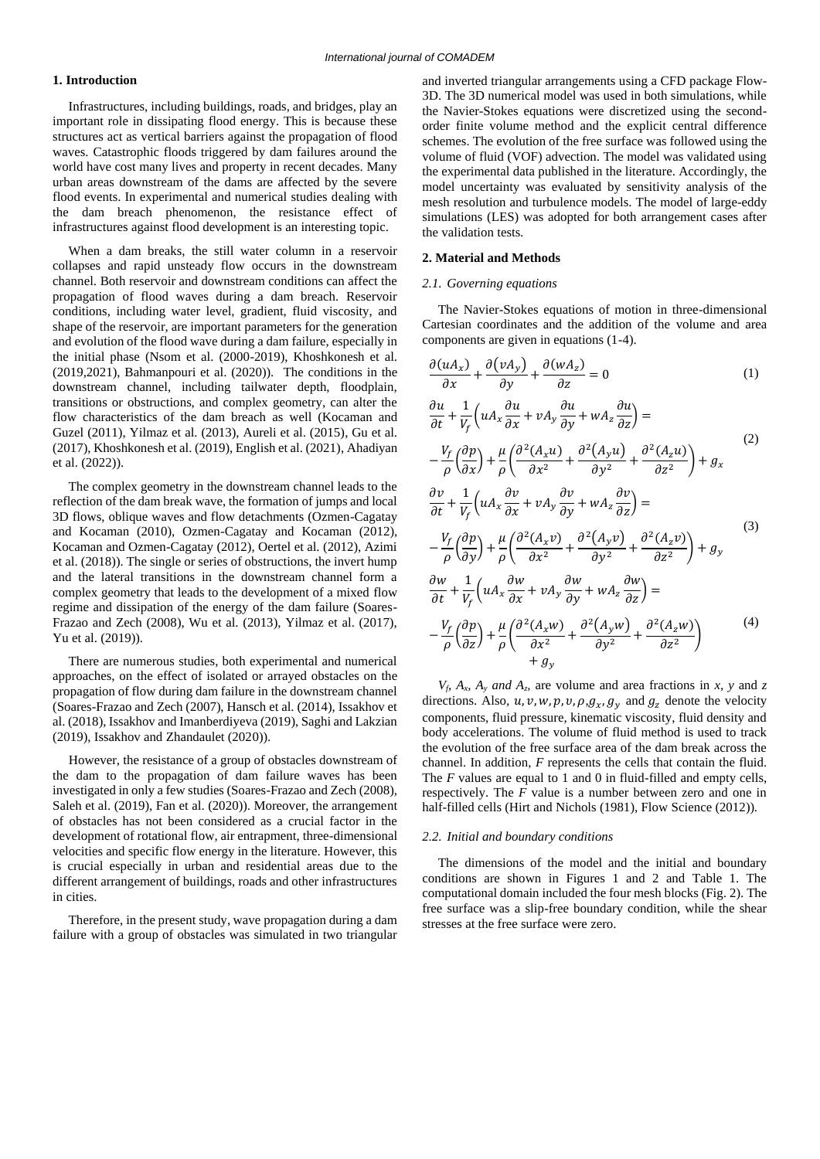#### **1. Introduction**

Infrastructures, including buildings, roads, and bridges, play an important role in dissipating flood energy. This is because these structures act as vertical barriers against the propagation of flood waves. Catastrophic floods triggered by dam failures around the world have cost many lives and property in recent decades. Many urban areas downstream of the dams are affected by the severe flood events. In experimental and numerical studies dealing with the dam breach phenomenon, the resistance effect of infrastructures against flood development is an interesting topic.

When a dam breaks, the still water column in a reservoir collapses and rapid unsteady flow occurs in the downstream channel. Both reservoir and downstream conditions can affect the propagation of flood waves during a dam breach. Reservoir conditions, including water level, gradient, fluid viscosity, and shape of the reservoir, are important parameters for the generation and evolution of the flood wave during a dam failure, especially in the initial phase (Nsom et al. (2000-2019), Khoshkonesh et al. (2019,2021), Bahmanpouri et al. (2020)). The conditions in the downstream channel, including tailwater depth, floodplain, transitions or obstructions, and complex geometry, can alter the flow characteristics of the dam breach as well (Kocaman and Guzel (2011), Yilmaz et al. (2013), Aureli et al. (2015), Gu et al. (2017), Khoshkonesh et al. (2019), English et al. (2021), Ahadiyan et al. (2022)).

The complex geometry in the downstream channel leads to the reflection of the dam break wave, the formation of jumps and local 3D flows, oblique waves and flow detachments (Ozmen-Cagatay and Kocaman (2010), Ozmen-Cagatay and Kocaman (2012), Kocaman and Ozmen-Cagatay (2012), Oertel et al. (2012), Azimi et al. (2018)). The single or series of obstructions, the invert hump and the lateral transitions in the downstream channel form a complex geometry that leads to the development of a mixed flow regime and dissipation of the energy of the dam failure (Soares-Frazao and Zech (2008), Wu et al. (2013), Yilmaz et al. (2017), Yu et al. (2019)).

There are numerous studies, both experimental and numerical approaches, on the effect of isolated or arrayed obstacles on the propagation of flow during dam failure in the downstream channel (Soares-Frazao and Zech (2007), Hansch et al. (2014), Issakhov et al. (2018), Issakhov and Imanberdiyeva (2019), Saghi and Lakzian (2019), Issakhov and Zhandaulet (2020)).

However, the resistance of a group of obstacles downstream of the dam to the propagation of dam failure waves has been investigated in only a few studies (Soares-Frazao and Zech (2008), Saleh et al. (2019), Fan et al. (2020)). Moreover, the arrangement of obstacles has not been considered as a crucial factor in the development of rotational flow, air entrapment, three-dimensional velocities and specific flow energy in the literature. However, this is crucial especially in urban and residential areas due to the different arrangement of buildings, roads and other infrastructures in cities.

Therefore, in the present study, wave propagation during a dam failure with a group of obstacles was simulated in two triangular and inverted triangular arrangements using a CFD package Flow-3D. The 3D numerical model was used in both simulations, while the Navier-Stokes equations were discretized using the secondorder finite volume method and the explicit central difference schemes. The evolution of the free surface was followed using the volume of fluid (VOF) advection. The model was validated using the experimental data published in the literature. Accordingly, the model uncertainty was evaluated by sensitivity analysis of the mesh resolution and turbulence models. The model of large-eddy simulations (LES) was adopted for both arrangement cases after the validation tests.

#### **2. Material and Methods**

#### *2.1. Governing equations*

The Navier-Stokes equations of motion in three-dimensional Cartesian coordinates and the addition of the volume and area components are given in equations (1-4).

$$
\frac{\partial (uA_x)}{\partial x} + \frac{\partial (vA_y)}{\partial y} + \frac{\partial (wA_z)}{\partial z} = 0 \qquad (1)
$$
\n
$$
\frac{\partial u}{\partial t} + \frac{1}{V_f} \left( uA_x \frac{\partial u}{\partial x} + vA_y \frac{\partial u}{\partial y} + wA_z \frac{\partial u}{\partial z} \right) =
$$
\n
$$
-\frac{V_f}{\rho} \left( \frac{\partial p}{\partial x} \right) + \frac{\mu}{\rho} \left( \frac{\partial^2 (A_x u)}{\partial x^2} + \frac{\partial^2 (A_y u)}{\partial y^2} + \frac{\partial^2 (A_z u)}{\partial z^2} \right) + g_x
$$
\n
$$
\frac{\partial v}{\partial t} + \frac{1}{V_f} \left( uA_x \frac{\partial v}{\partial x} + vA_y \frac{\partial v}{\partial y} + wA_z \frac{\partial v}{\partial z} \right) =
$$
\n
$$
-\frac{V_f}{\rho} \left( \frac{\partial p}{\partial y} \right) + \frac{\mu}{\rho} \left( \frac{\partial^2 (A_x v)}{\partial x^2} + \frac{\partial^2 (A_y v)}{\partial y^2} + \frac{\partial^2 (A_z v)}{\partial z^2} \right) + g_y
$$
\n
$$
\frac{\partial w}{\partial t} + \frac{1}{V_f} \left( uA_x \frac{\partial w}{\partial x} + vA_y \frac{\partial w}{\partial y} + wA_z \frac{\partial w}{\partial z} \right) =
$$
\n
$$
-\frac{V_f}{\rho} \left( \frac{\partial p}{\partial z} \right) + \frac{\mu}{\rho} \left( \frac{\partial^2 (A_x w)}{\partial x^2} + \frac{\partial^2 (A_y w)}{\partial y^2} + \frac{\partial^2 (A_z w)}{\partial z^2} \right) + g_y
$$
\n
$$
+ g_y
$$
\n(4)

 $V_f$ ,  $A_x$ ,  $A_y$  *and*  $A_z$  are volume and area fractions in *x*, *y* and *z* directions. Also,  $u, v, w, p, v, \rho, g_x, g_y$  and  $g_z$  denote the velocity components, fluid pressure, kinematic viscosity, fluid density and body accelerations. The volume of fluid method is used to track the evolution of the free surface area of the dam break across the channel. In addition, *F* represents the cells that contain the fluid. The *F* values are equal to 1 and 0 in fluid-filled and empty cells, respectively. The *F* value is a number between zero and one in half-filled cells (Hirt and Nichols (1981), Flow Science (2012)).

#### *2.2. Initial and boundary conditions*

The dimensions of the model and the initial and boundary conditions are shown in Figures 1 and 2 and Table 1. The computational domain included the four mesh blocks (Fig. 2). The free surface was a slip-free boundary condition, while the shear stresses at the free surface were zero.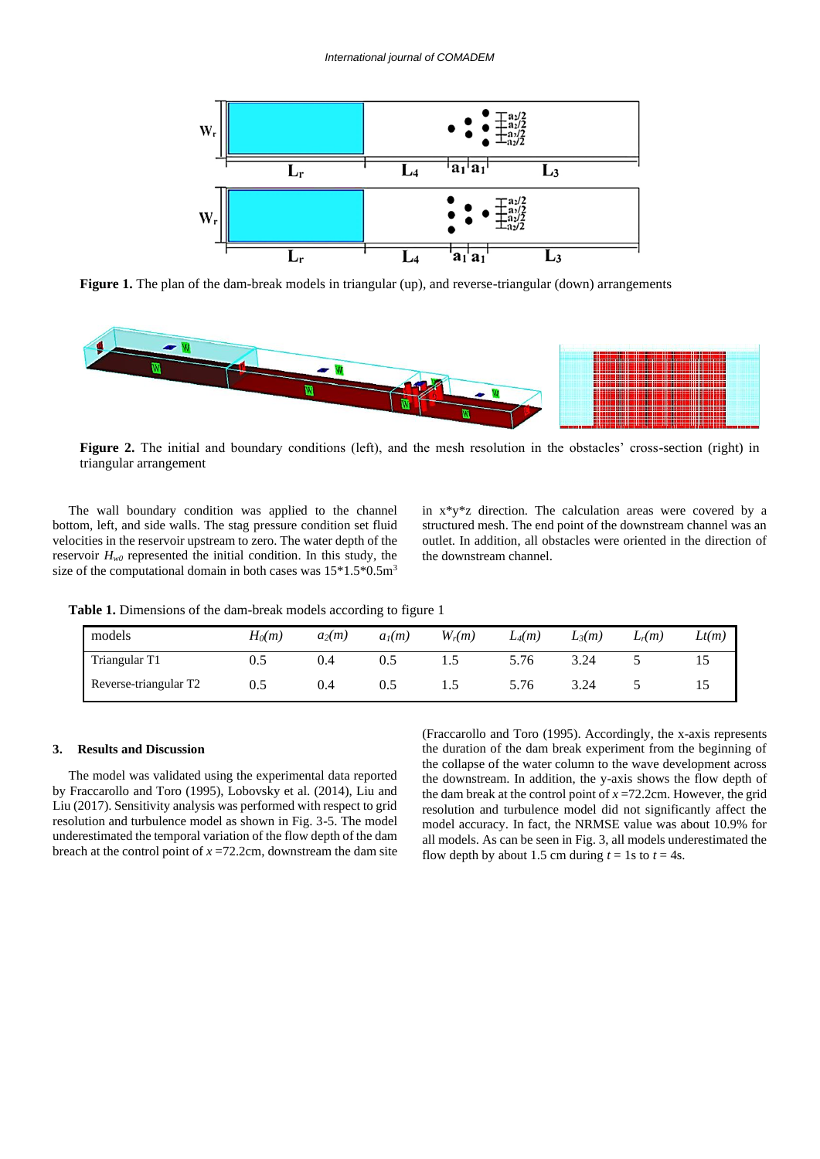

**Figure 1.** The plan of the dam-break models in triangular (up), and reverse-triangular (down) arrangements



**Figure 2.** The initial and boundary conditions (left), and the mesh resolution in the obstacles' cross-section (right) in triangular arrangement

The wall boundary condition was applied to the channel bottom, left, and side walls. The stag pressure condition set fluid velocities in the reservoir upstream to zero. The water depth of the reservoir  $H_{w0}$  represented the initial condition. In this study, the size of the computational domain in both cases was  $15*1.5*0.5m<sup>3</sup>$ 

in x\*y\*z direction. The calculation areas were covered by a structured mesh. The end point of the downstream channel was an outlet. In addition, all obstacles were oriented in the direction of the downstream channel.

**Table 1.** Dimensions of the dam-break models according to figure 1

| models                | $H_0(m)$ | $a_2(m)$ | $a_l(m)$ | $W_r(m)$ | $L_4(m)$ | $L_3(m)$ | $L_r(m)$ | Lt(m) |
|-----------------------|----------|----------|----------|----------|----------|----------|----------|-------|
| Triangular T1         | U.J      | 0.4      | U.J      | L.J      | 5.76     | 3.24     |          |       |
| Reverse-triangular T2 | U.S      | 0.4      | U.C      | L.J      | 5.76     | 3.24     |          | ⊥ື    |

#### **3. Results and Discussion**

The model was validated using the experimental data reported by Fraccarollo and Toro (1995), Lobovsky et al. (2014), Liu and Liu (2017). Sensitivity analysis was performed with respect to grid resolution and turbulence model as shown in Fig. 3-5. The model underestimated the temporal variation of the flow depth of the dam breach at the control point of  $x = 72.2$ cm, downstream the dam site (Fraccarollo and Toro (1995). Accordingly, the x-axis represents the duration of the dam break experiment from the beginning of the collapse of the water column to the wave development across the downstream. In addition, the y-axis shows the flow depth of the dam break at the control point of  $x = 72.2$ cm. However, the grid resolution and turbulence model did not significantly affect the model accuracy. In fact, the NRMSE value was about 10.9% for all models. As can be seen in Fig. 3, all models underestimated the flow depth by about 1.5 cm during  $t = 1$ s to  $t = 4$ s.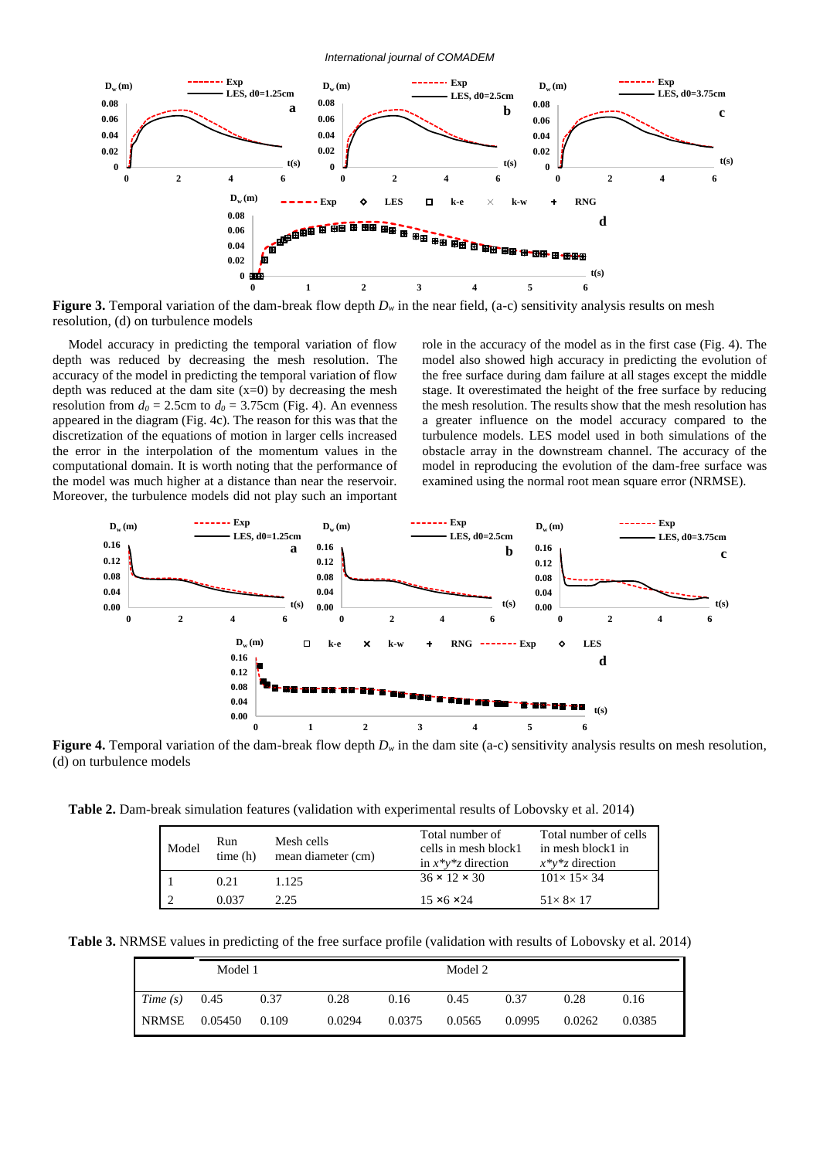*International journal of COMADEM*



**Figure 3.** Temporal variation of the dam-break flow depth  $D_w$  in the near field, (a-c) sensitivity analysis results on mesh resolution, (d) on turbulence models

Model accuracy in predicting the temporal variation of flow depth was reduced by decreasing the mesh resolution. The accuracy of the model in predicting the temporal variation of flow depth was reduced at the dam site  $(x=0)$  by decreasing the mesh resolution from  $d_0 = 2.5$ cm to  $d_0 = 3.75$ cm (Fig. 4). An evenness appeared in the diagram (Fig. 4c). The reason for this was that the discretization of the equations of motion in larger cells increased the error in the interpolation of the momentum values in the computational domain. It is worth noting that the performance of the model was much higher at a distance than near the reservoir. Moreover, the turbulence models did not play such an important

role in the accuracy of the model as in the first case (Fig. 4). The model also showed high accuracy in predicting the evolution of the free surface during dam failure at all stages except the middle stage. It overestimated the height of the free surface by reducing the mesh resolution. The results show that the mesh resolution has a greater influence on the model accuracy compared to the turbulence models. LES model used in both simulations of the obstacle array in the downstream channel. The accuracy of the model in reproducing the evolution of the dam-free surface was examined using the normal root mean square error (NRMSE).



**Figure 4.** Temporal variation of the dam-break flow depth  $D_w$  in the dam site (a-c) sensitivity analysis results on mesh resolution, (d) on turbulence models

**Table 2.** Dam-break simulation features (validation with experimental results of Lobovsky et al. 2014)

| Model | Run<br>time(h) | Mesh cells<br>mean diameter (cm) | Total number of<br>cells in mesh block1<br>in $x^*y^*z$ direction | Total number of cells<br>in mesh block1 in<br>$x^*y^*z$ direction |
|-------|----------------|----------------------------------|-------------------------------------------------------------------|-------------------------------------------------------------------|
|       | 0.21           | 1.125                            | $36 \times 12 \times 30$                                          | $101 \times 15 \times 34$                                         |
|       | 0.037          | 2.25                             | $15 \times 6 \times 24$                                           | $51 \times 8 \times 17$                                           |

**Table 3.** NRMSE values in predicting of the free surface profile (validation with results of Lobovsky et al. 2014)

| Model 1      |         |       | Model 2 |        |        |        |        |        |
|--------------|---------|-------|---------|--------|--------|--------|--------|--------|
| Time $(s)$   | 0.45    | 0.37  | 0.28    | 0.16   | 0.45   | 0.37   | 0.28   | 0.16   |
| <b>NRMSE</b> | 0.05450 | 0.109 | 0.0294  | 0.0375 | 0.0565 | 0.0995 | 0.0262 | 0.0385 |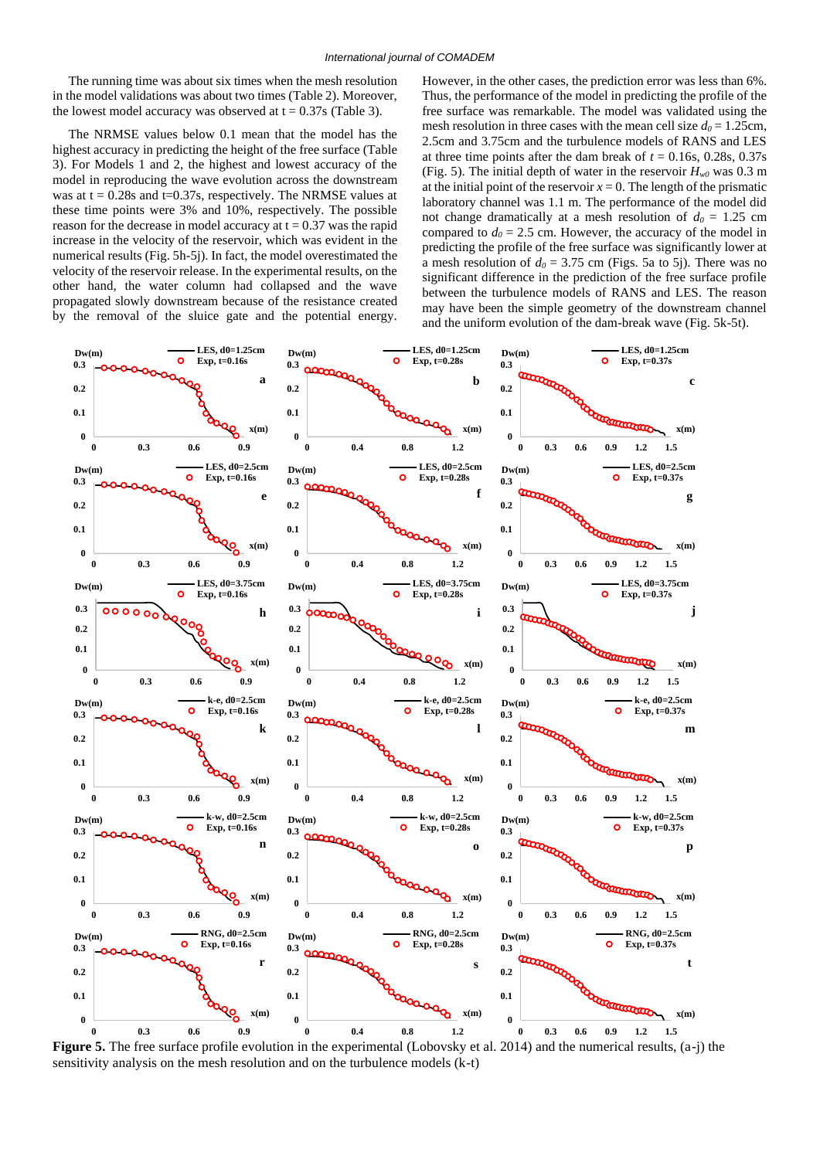The running time was about six times when the mesh resolution in the model validations was about two times (Table 2). Moreover, the lowest model accuracy was observed at  $t = 0.37$ s (Table 3).

The NRMSE values below 0.1 mean that the model has the highest accuracy in predicting the height of the free surface (Table 3). For Models 1 and 2, the highest and lowest accuracy of the model in reproducing the wave evolution across the downstream was at  $t = 0.28s$  and  $t = 0.37s$ , respectively. The NRMSE values at these time points were 3% and 10%, respectively. The possible reason for the decrease in model accuracy at  $t = 0.37$  was the rapid increase in the velocity of the reservoir, which was evident in the numerical results (Fig. 5h-5j). In fact, the model overestimated the velocity of the reservoir release. In the experimental results, on the other hand, the water column had collapsed and the wave propagated slowly downstream because of the resistance created by the removal of the sluice gate and the potential energy.

However, in the other cases, the prediction error was less than 6%. Thus, the performance of the model in predicting the profile of the free surface was remarkable. The model was validated using the mesh resolution in three cases with the mean cell size  $d_0 = 1.25$ cm, 2.5cm and 3.75cm and the turbulence models of RANS and LES at three time points after the dam break of  $t = 0.16$ s, 0.28s, 0.37s (Fig. 5). The initial depth of water in the reservoir  $H_{w0}$  was 0.3 m at the initial point of the reservoir  $x = 0$ . The length of the prismatic laboratory channel was 1.1 m. The performance of the model did not change dramatically at a mesh resolution of  $d_0 = 1.25$  cm compared to  $d_0 = 2.5$  cm. However, the accuracy of the model in predicting the profile of the free surface was significantly lower at a mesh resolution of  $d_0 = 3.75$  cm (Figs. 5a to 5j). There was no significant difference in the prediction of the free surface profile between the turbulence models of RANS and LES. The reason may have been the simple geometry of the downstream channel and the uniform evolution of the dam-break wave (Fig. 5k-5t).



**Figure 5.** The free surface profile evolution in the experimental (Lobovsky et al. 2014) and the numerical results, (a-j) the sensitivity analysis on the mesh resolution and on the turbulence models (k-t)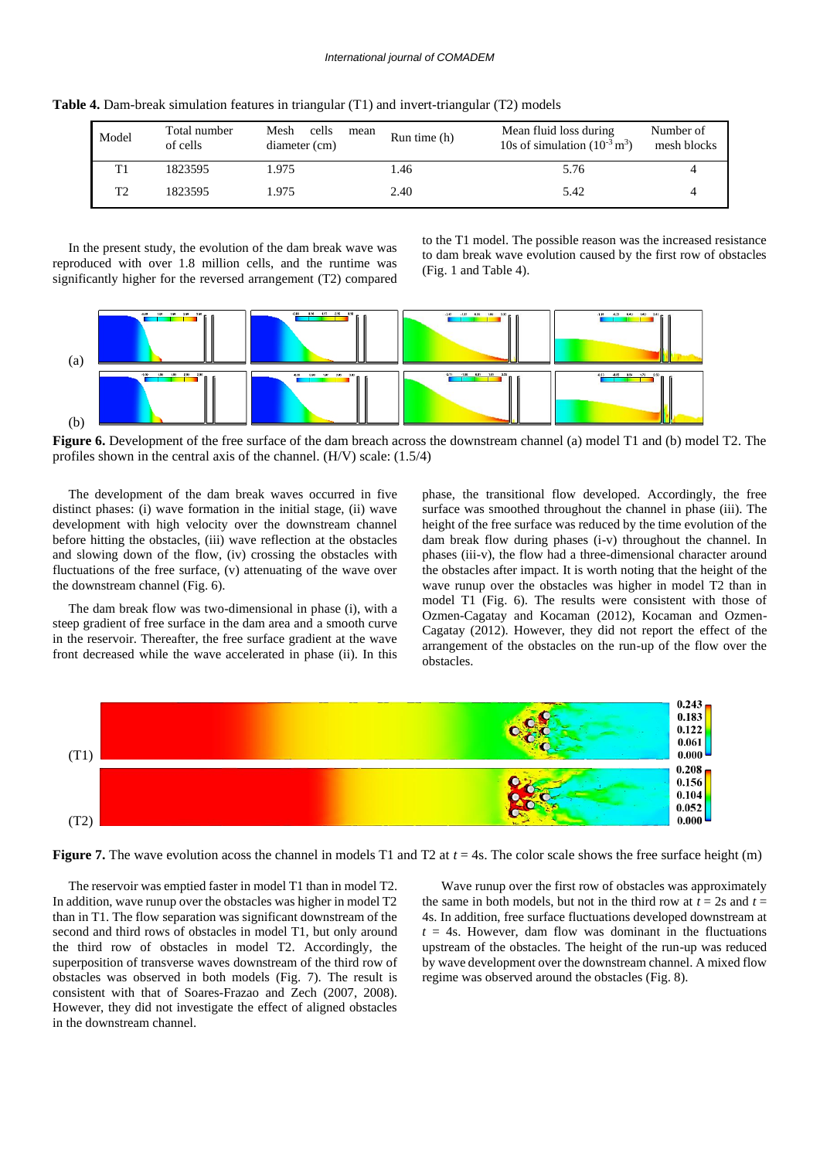| Model          | Total number<br>of cells | cells<br>Mesh<br>mean<br>diameter (cm) | Run time (h) | Mean fluid loss during<br>10s of simulation $(10^{-3} \text{ m}^3)$ | Number of<br>mesh blocks |
|----------------|--------------------------|----------------------------------------|--------------|---------------------------------------------------------------------|--------------------------|
| T1.            | 1823595                  | 1.975                                  | 1.46         | 5.76                                                                |                          |
| T <sub>2</sub> | 1823595                  | 1.975                                  | 2.40         | 5.42                                                                |                          |

**Table 4.** Dam-break simulation features in triangular (T1) and invert-triangular (T2) models

In the present study, the evolution of the dam break wave was reproduced with over 1.8 million cells, and the runtime was significantly higher for the reversed arrangement (T2) compared

to the T1 model. The possible reason was the increased resistance to dam break wave evolution caused by the first row of obstacles (Fig. 1 and Table 4).



**Figure 6.** Development of the free surface of the dam breach across the downstream channel (a) model T1 and (b) model T2. The profiles shown in the central axis of the channel. (H/V) scale: (1.5/4)

The development of the dam break waves occurred in five distinct phases: (i) wave formation in the initial stage, (ii) wave development with high velocity over the downstream channel before hitting the obstacles, (iii) wave reflection at the obstacles and slowing down of the flow, (iv) crossing the obstacles with fluctuations of the free surface, (v) attenuating of the wave over the downstream channel (Fig. 6).

The dam break flow was two-dimensional in phase (i), with a steep gradient of free surface in the dam area and a smooth curve in the reservoir. Thereafter, the free surface gradient at the wave front decreased while the wave accelerated in phase (ii). In this phase, the transitional flow developed. Accordingly, the free surface was smoothed throughout the channel in phase (iii). The height of the free surface was reduced by the time evolution of the dam break flow during phases (i-v) throughout the channel. In phases (iii-v), the flow had a three-dimensional character around the obstacles after impact. It is worth noting that the height of the wave runup over the obstacles was higher in model T2 than in model T1 (Fig. 6). The results were consistent with those of Ozmen-Cagatay and Kocaman (2012), Kocaman and Ozmen-Cagatay (2012). However, they did not report the effect of the arrangement of the obstacles on the run-up of the flow over the obstacles.



**Figure** 7. The wave evolution acoss the channel in models T1 and T2 at  $t = 4s$ . The color scale shows the free surface height (m)

The reservoir was emptied faster in model T1 than in model T2. In addition, wave runup over the obstacles was higher in model T2 than in T1. The flow separation was significant downstream of the second and third rows of obstacles in model T1, but only around the third row of obstacles in model T2. Accordingly, the superposition of transverse waves downstream of the third row of obstacles was observed in both models (Fig. 7). The result is consistent with that of Soares-Frazao and Zech (2007, 2008). However, they did not investigate the effect of aligned obstacles in the downstream channel.

Wave runup over the first row of obstacles was approximately the same in both models, but not in the third row at  $t = 2s$  and  $t =$ 4s. In addition, free surface fluctuations developed downstream at  $t = 4s$ . However, dam flow was dominant in the fluctuations upstream of the obstacles. The height of the run-up was reduced by wave development over the downstream channel. A mixed flow regime was observed around the obstacles (Fig. 8).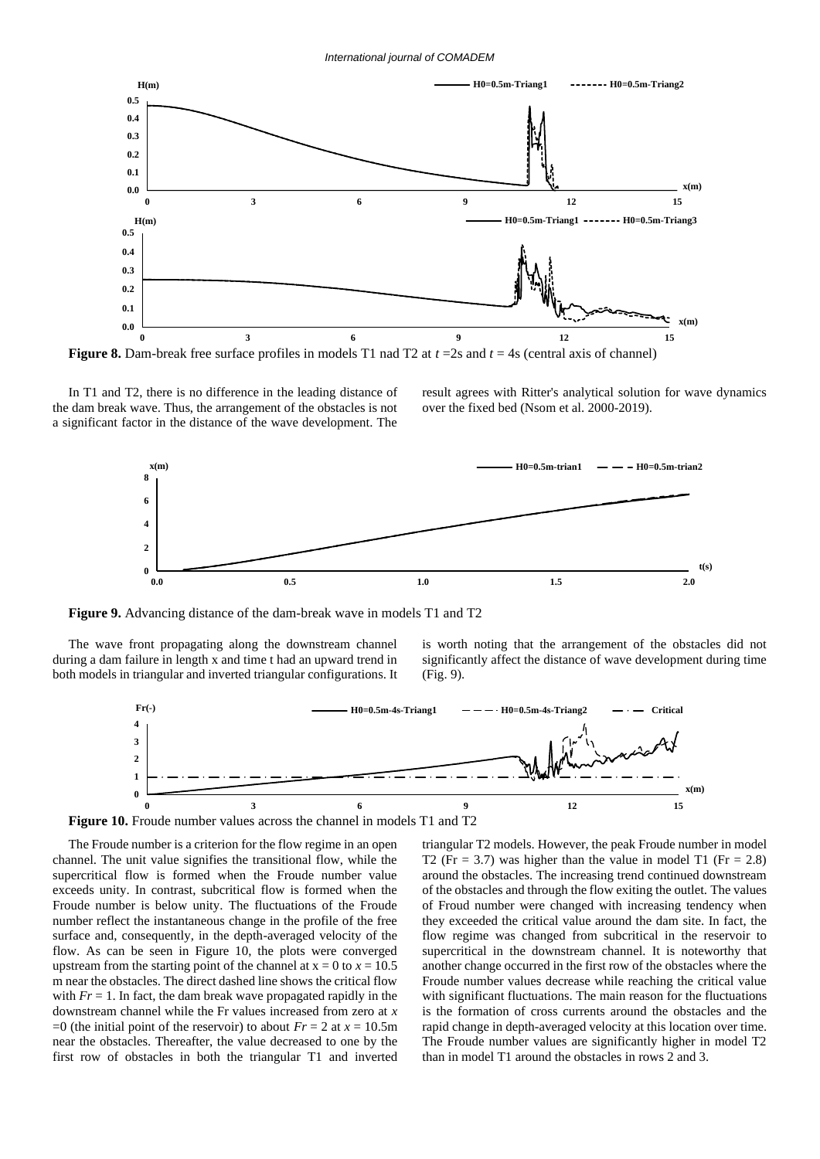

**Figure 8.** Dam-break free surface profiles in models T1 nad T2 at  $t = 2s$  and  $t = 4s$  (central axis of channel)

In T1 and T2, there is no difference in the leading distance of the dam break wave. Thus, the arrangement of the obstacles is not a significant factor in the distance of the wave development. The

result agrees with Ritter's analytical solution for wave dynamics over the fixed bed (Nsom et al. 2000-2019).



**Figure 9.** Advancing distance of the dam-break wave in models T1 and T2

The wave front propagating along the downstream channel during a dam failure in length x and time t had an upward trend in both models in triangular and inverted triangular configurations. It is worth noting that the arrangement of the obstacles did not significantly affect the distance of wave development during time (Fig. 9).



**Figure 10.** Froude number values across the channel in models T1 and T2

The Froude number is a criterion for the flow regime in an open channel. The unit value signifies the transitional flow, while the supercritical flow is formed when the Froude number value exceeds unity. In contrast, subcritical flow is formed when the Froude number is below unity. The fluctuations of the Froude number reflect the instantaneous change in the profile of the free surface and, consequently, in the depth-averaged velocity of the flow. As can be seen in Figure 10, the plots were converged upstream from the starting point of the channel at  $x = 0$  to  $x = 10.5$ m near the obstacles. The direct dashed line shows the critical flow with  $Fr = 1$ . In fact, the dam break wave propagated rapidly in the downstream channel while the Fr values increased from zero at *x*  $=0$  (the initial point of the reservoir) to about  $Fr = 2$  at  $x = 10.5$ m near the obstacles. Thereafter, the value decreased to one by the first row of obstacles in both the triangular T1 and inverted

triangular T2 models. However, the peak Froude number in model T2 (Fr = 3.7) was higher than the value in model T1 (Fr =  $2.8$ ) around the obstacles. The increasing trend continued downstream of the obstacles and through the flow exiting the outlet. The values of Froud number were changed with increasing tendency when they exceeded the critical value around the dam site. In fact, the flow regime was changed from subcritical in the reservoir to supercritical in the downstream channel. It is noteworthy that another change occurred in the first row of the obstacles where the Froude number values decrease while reaching the critical value with significant fluctuations. The main reason for the fluctuations is the formation of cross currents around the obstacles and the rapid change in depth-averaged velocity at this location over time. The Froude number values are significantly higher in model T2 than in model T1 around the obstacles in rows 2 and 3.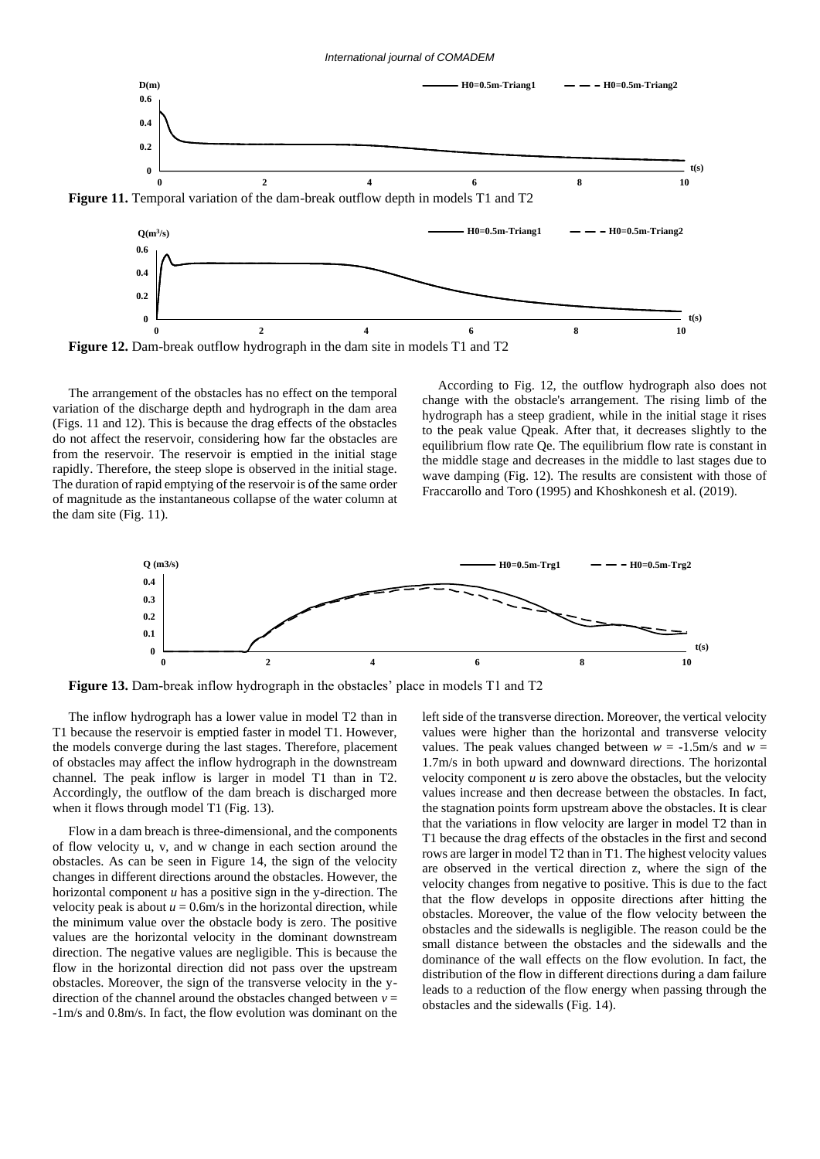*International journal of COMADEM*



**Figure 12.** Dam-break outflow hydrograph in the dam site in models T1 and T2

The arrangement of the obstacles has no effect on the temporal variation of the discharge depth and hydrograph in the dam area (Figs. 11 and 12). This is because the drag effects of the obstacles do not affect the reservoir, considering how far the obstacles are from the reservoir. The reservoir is emptied in the initial stage rapidly. Therefore, the steep slope is observed in the initial stage. The duration of rapid emptying of the reservoir is of the same order of magnitude as the instantaneous collapse of the water column at the dam site (Fig. 11).

According to Fig. 12, the outflow hydrograph also does not change with the obstacle's arrangement. The rising limb of the hydrograph has a steep gradient, while in the initial stage it rises to the peak value Qpeak. After that, it decreases slightly to the equilibrium flow rate Qe. The equilibrium flow rate is constant in the middle stage and decreases in the middle to last stages due to wave damping (Fig. 12). The results are consistent with those of Fraccarollo and Toro (1995) and Khoshkonesh et al. (2019).



**Figure 13.** Dam-break inflow hydrograph in the obstacles' place in models T1 and T2

The inflow hydrograph has a lower value in model T2 than in T1 because the reservoir is emptied faster in model T1. However, the models converge during the last stages. Therefore, placement of obstacles may affect the inflow hydrograph in the downstream channel. The peak inflow is larger in model T1 than in T2. Accordingly, the outflow of the dam breach is discharged more when it flows through model T1 (Fig. 13).

Flow in a dam breach is three-dimensional, and the components of flow velocity u, v, and w change in each section around the obstacles. As can be seen in Figure 14, the sign of the velocity changes in different directions around the obstacles. However, the horizontal component *u* has a positive sign in the y-direction. The velocity peak is about  $u = 0.6$ m/s in the horizontal direction, while the minimum value over the obstacle body is zero. The positive values are the horizontal velocity in the dominant downstream direction. The negative values are negligible. This is because the flow in the horizontal direction did not pass over the upstream obstacles. Moreover, the sign of the transverse velocity in the ydirection of the channel around the obstacles changed between  $v =$ -1m/s and 0.8m/s. In fact, the flow evolution was dominant on the

left side of the transverse direction. Moreover, the vertical velocity values were higher than the horizontal and transverse velocity values. The peak values changed between  $w = -1.5$ m/s and  $w =$ 1.7m/s in both upward and downward directions. The horizontal velocity component *u* is zero above the obstacles, but the velocity values increase and then decrease between the obstacles. In fact, the stagnation points form upstream above the obstacles. It is clear that the variations in flow velocity are larger in model T2 than in T1 because the drag effects of the obstacles in the first and second rows are larger in model T2 than in T1. The highest velocity values are observed in the vertical direction z, where the sign of the velocity changes from negative to positive. This is due to the fact that the flow develops in opposite directions after hitting the obstacles. Moreover, the value of the flow velocity between the obstacles and the sidewalls is negligible. The reason could be the small distance between the obstacles and the sidewalls and the dominance of the wall effects on the flow evolution. In fact, the distribution of the flow in different directions during a dam failure leads to a reduction of the flow energy when passing through the obstacles and the sidewalls (Fig. 14).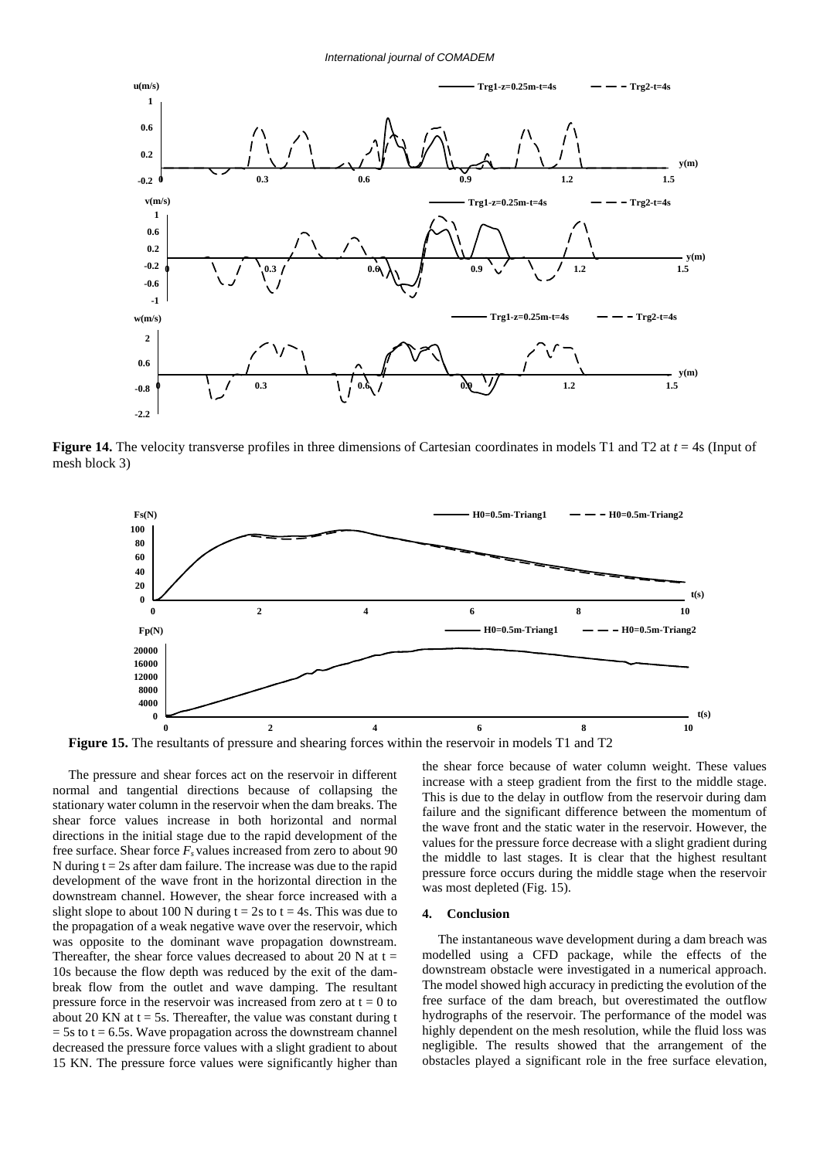

**Figure 14.** The velocity transverse profiles in three dimensions of Cartesian coordinates in models T1 and T2 at *t* = 4s (Input of mesh block 3)



**Figure 15.** The resultants of pressure and shearing forces within the reservoir in models T1 and T2

The pressure and shear forces act on the reservoir in different normal and tangential directions because of collapsing the stationary water column in the reservoir when the dam breaks. The shear force values increase in both horizontal and normal directions in the initial stage due to the rapid development of the free surface. Shear force *F<sup>s</sup>* values increased from zero to about 90 N during  $t = 2s$  after dam failure. The increase was due to the rapid development of the wave front in the horizontal direction in the downstream channel. However, the shear force increased with a slight slope to about 100 N during  $t = 2s$  to  $t = 4s$ . This was due to the propagation of a weak negative wave over the reservoir, which was opposite to the dominant wave propagation downstream. Thereafter, the shear force values decreased to about 20 N at  $t =$ 10s because the flow depth was reduced by the exit of the dambreak flow from the outlet and wave damping. The resultant pressure force in the reservoir was increased from zero at  $t = 0$  to about 20 KN at  $t = 5s$ . Thereafter, the value was constant during t  $=$  5s to t  $=$  6.5s. Wave propagation across the downstream channel decreased the pressure force values with a slight gradient to about 15 KN. The pressure force values were significantly higher than

the shear force because of water column weight. These values increase with a steep gradient from the first to the middle stage. This is due to the delay in outflow from the reservoir during dam failure and the significant difference between the momentum of the wave front and the static water in the reservoir. However, the values for the pressure force decrease with a slight gradient during the middle to last stages. It is clear that the highest resultant pressure force occurs during the middle stage when the reservoir was most depleted (Fig. 15).

#### **4. Conclusion**

The instantaneous wave development during a dam breach was modelled using a CFD package, while the effects of the downstream obstacle were investigated in a numerical approach. The model showed high accuracy in predicting the evolution of the free surface of the dam breach, but overestimated the outflow hydrographs of the reservoir. The performance of the model was highly dependent on the mesh resolution, while the fluid loss was negligible. The results showed that the arrangement of the obstacles played a significant role in the free surface elevation,